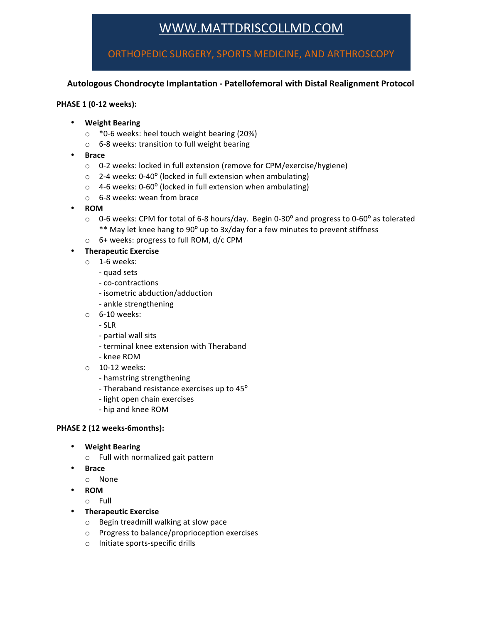# WWW.MATTDRISCOLLMD.COM

ORTHOPEDIC SURGERY, SPORTS MEDICINE, AND ARTHROSCOPY

## Autologous Chondrocyte Implantation - Patellofemoral with Distal Realignment Protocol

### **PHASE 1 (0-12 weeks):**

- **Weight Bearing**
	- $\circ$  \*0-6 weeks: heel touch weight bearing (20%)
	- $\circ$  6-8 weeks: transition to full weight bearing
- **Brace**
	- o 0-2 weeks: locked in full extension (remove for CPM/exercise/hygiene)
	- $\circ$  2-4 weeks: 0-40 $\circ$  (locked in full extension when ambulating)
	- $\circ$  4-6 weeks: 0-60° (locked in full extension when ambulating)
	- $\circ$  6-8 weeks: wean from brace
- **ROM**
	- $\circ$  0-6 weeks: CPM for total of 6-8 hours/day. Begin 0-30° and progress to 0-60° as tolerated \*\* May let knee hang to 90° up to 3x/day for a few minutes to prevent stiffness
	- o 6+ weeks: progress to full ROM, d/c CPM

• **Therapeutic Exercise**

- $\circ$  1-6 weeks:
	- quad sets
	- co-contractions
	- isometric abduction/adduction
	- ankle strengthening
- $\circ$  6-10 weeks:
	- SLR
	- partial wall sits
	- terminal knee extension with Theraband
	- knee ROM
- $\circ$  10-12 weeks:
	- hamstring strengthening
	- Theraband resistance exercises up to 45°
	- light open chain exercises
	- hip and knee ROM

#### PHASE 2 (12 weeks-6months):

- **Weight Bearing**
	- $\circ$  Full with normalized gait pattern
- **Brace**
	- o None
- **ROM**
	- o Full
- **Therapeutic Exercise**
	- o Begin treadmill walking at slow pace
	- $\circ$  Progress to balance/proprioception exercises
	- o Initiate sports-specific drills